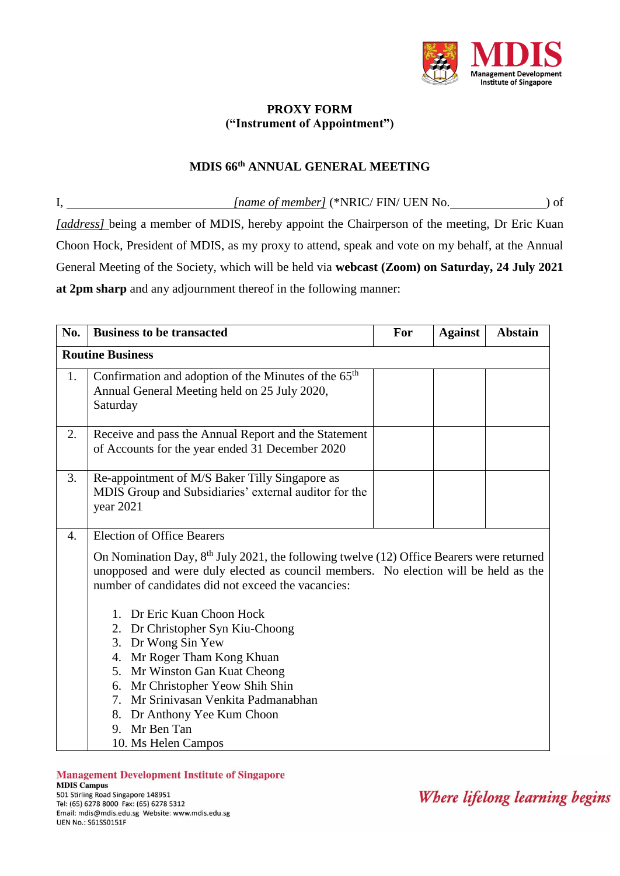

## **PROXY FORM ("Instrument of Appointment")**

## **MDIS 66th ANNUAL GENERAL MEETING**

I, *[name of member]* (\*NRIC/ FIN/ UEN No. ) of *[address]* being a member of MDIS, hereby appoint the Chairperson of the meeting, Dr Eric Kuan Choon Hock, President of MDIS, as my proxy to attend, speak and vote on my behalf, at the Annual General Meeting of the Society, which will be held via **webcast (Zoom) on Saturday, 24 July 2021 at 2pm sharp** and any adjournment thereof in the following manner:

| No.                     | <b>Business to be transacted</b>                                                                                                                                                                                                                                                                                                                                                                                                                                         | For | <b>Against</b> | <b>Abstain</b> |
|-------------------------|--------------------------------------------------------------------------------------------------------------------------------------------------------------------------------------------------------------------------------------------------------------------------------------------------------------------------------------------------------------------------------------------------------------------------------------------------------------------------|-----|----------------|----------------|
| <b>Routine Business</b> |                                                                                                                                                                                                                                                                                                                                                                                                                                                                          |     |                |                |
| 1.                      | Confirmation and adoption of the Minutes of the 65 <sup>th</sup><br>Annual General Meeting held on 25 July 2020,<br>Saturday                                                                                                                                                                                                                                                                                                                                             |     |                |                |
| 2.                      | Receive and pass the Annual Report and the Statement<br>of Accounts for the year ended 31 December 2020                                                                                                                                                                                                                                                                                                                                                                  |     |                |                |
| 3.                      | Re-appointment of M/S Baker Tilly Singapore as<br>MDIS Group and Subsidiaries' external auditor for the<br>year 2021                                                                                                                                                                                                                                                                                                                                                     |     |                |                |
| $\overline{4}$ .        | <b>Election of Office Bearers</b><br>On Nomination Day, $8th$ July 2021, the following twelve (12) Office Bearers were returned<br>unopposed and were duly elected as council members. No election will be held as the<br>number of candidates did not exceed the vacancies:<br>1. Dr Eric Kuan Choon Hock<br>2. Dr Christopher Syn Kiu-Choong<br>3. Dr Wong Sin Yew<br>4. Mr Roger Tham Kong Khuan<br>5. Mr Winston Gan Kuat Cheong<br>6. Mr Christopher Yeow Shih Shin |     |                |                |
|                         | 7. Mr Srinivasan Venkita Padmanabhan<br>8. Dr Anthony Yee Kum Choon<br>9. Mr Ben Tan<br>10. Ms Helen Campos                                                                                                                                                                                                                                                                                                                                                              |     |                |                |

**Management Development Institute of Singapore MDIS Campus** 501 Stirling Road Singapore 148951 Tel: (65) 6278 8000 Fax: (65) 6278 5312 Email: mdis@mdis.edu.sg Website: www.mdis.edu.sg

**UEN No.: S61SS0151F** 

Where lifelong learning begins